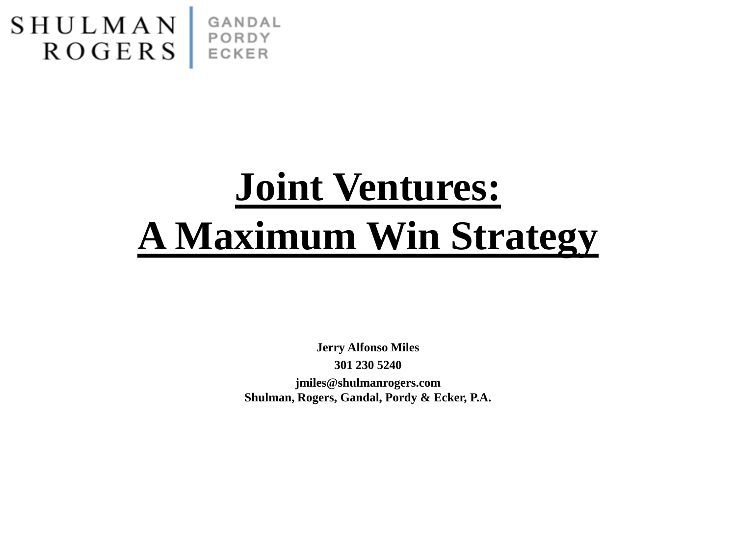

# **Joint Ventures: A Maximum Win Strategy**

**Jerry Alfonso Miles 301 230 5240 jmiles@shulmanrogers.com Shulman, Rogers, Gandal, Pordy & Ecker, P.A.**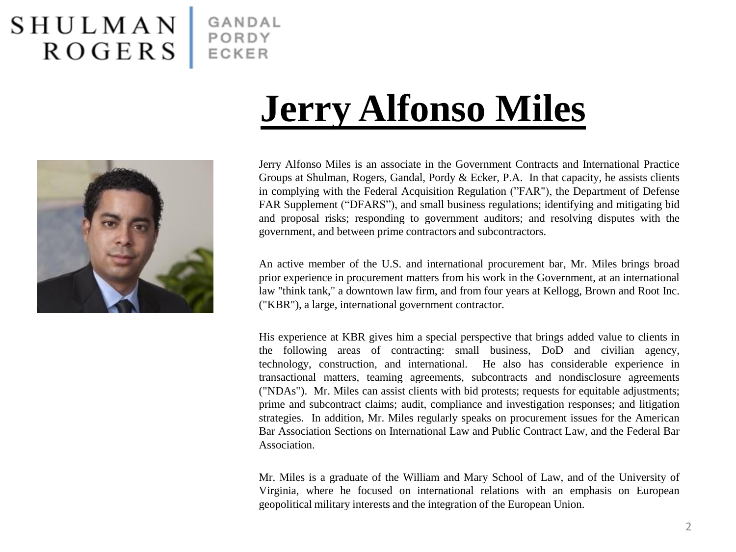#### SHULMAN<br>ROGERS GANDAL PORDY ECKER

**Jerry Alfonso Miles**



Jerry Alfonso Miles is an associate in the Government Contracts and International Practice Groups at Shulman, Rogers, Gandal, Pordy & Ecker, P.A. In that capacity, he assists clients in complying with the Federal Acquisition Regulation ("FAR"), the Department of Defense FAR Supplement ("DFARS"), and small business regulations; identifying and mitigating bid and proposal risks; responding to government auditors; and resolving disputes with the government, and between prime contractors and subcontractors.

An active member of the U.S. and international procurement bar, Mr. Miles brings broad prior experience in procurement matters from his work in the Government, at an international law "think tank," a downtown law firm, and from four years at Kellogg, Brown and Root Inc. ("KBR"), a large, international government contractor.

His experience at KBR gives him a special perspective that brings added value to clients in the following areas of contracting: small business, DoD and civilian agency, technology, construction, and international. He also has considerable experience in transactional matters, teaming agreements, subcontracts and nondisclosure agreements ("NDAs"). Mr. Miles can assist clients with bid protests; requests for equitable adjustments; prime and subcontract claims; audit, compliance and investigation responses; and litigation strategies. In addition, Mr. Miles regularly speaks on procurement issues for the American Bar Association Sections on International Law and Public Contract Law, and the Federal Bar Association.

Mr. Miles is a graduate of the William and Mary School of Law, and of the University of Virginia, where he focused on international relations with an emphasis on European geopolitical military interests and the integration of the European Union.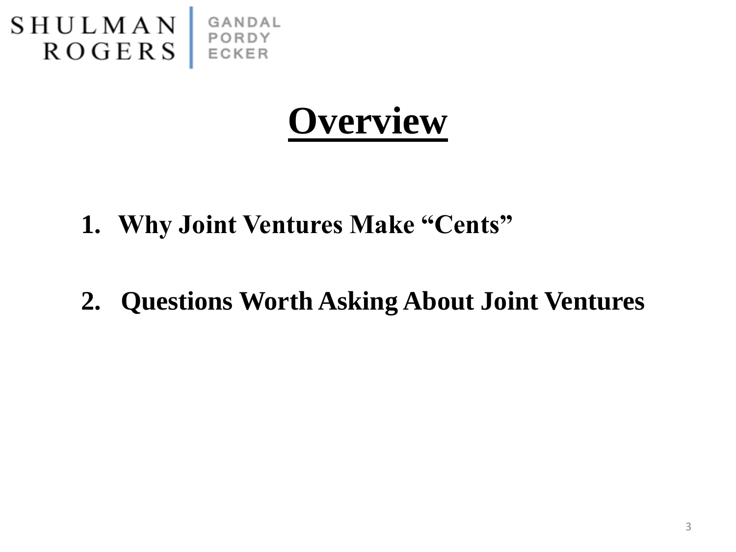

## **Overview**

- **1. Why Joint Ventures Make "Cents"**
- **2. Questions Worth Asking About Joint Ventures**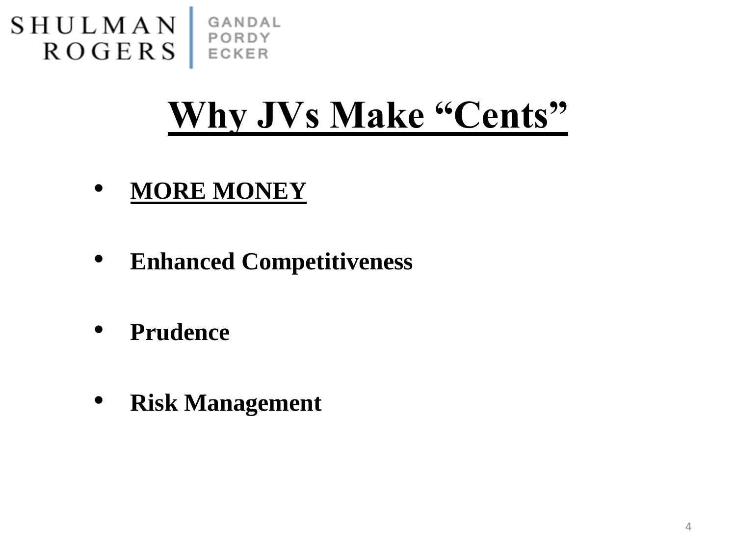

## **Why JVs Make "Cents"**

- **MORE MONEY**
- **Enhanced Competitiveness**
- **Prudence**
- **Risk Management**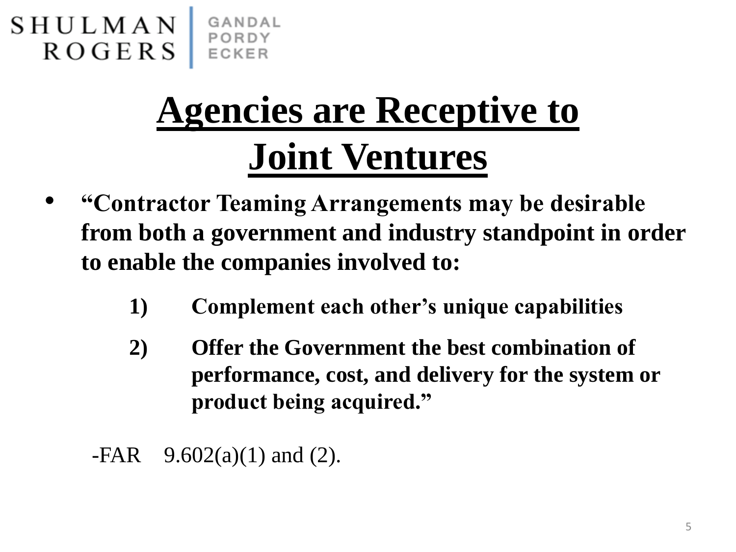

# **Agencies are Receptive to Joint Ventures**

- **"Contractor Teaming Arrangements may be desirable from both a government and industry standpoint in order to enable the companies involved to:**
	- **1) Complement each other's unique capabilities**
	- **2) Offer the Government the best combination of performance, cost, and delivery for the system or product being acquired."**
	- $-FAR$  9.602(a)(1) and (2).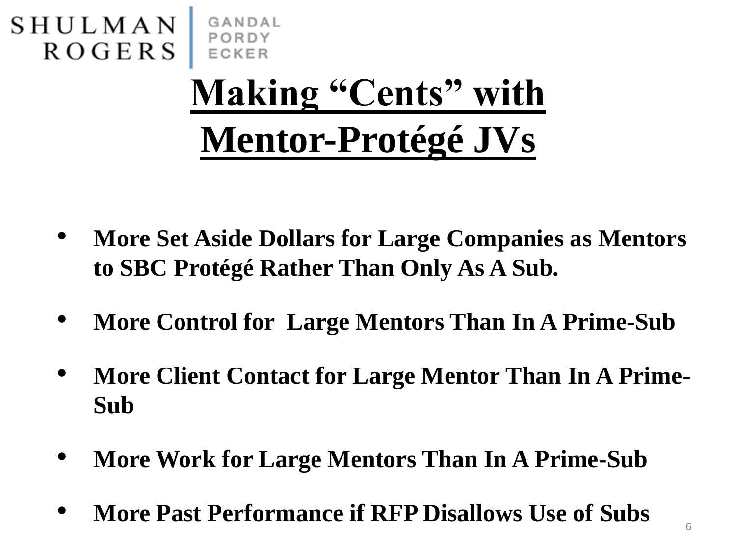

- **More Set Aside Dollars for Large Companies as Mentors to SBC Protégé Rather Than Only As A Sub.**
- **More Control for Large Mentors Than In A Prime-Sub**
- **More Client Contact for Large Mentor Than In A Prime-Sub**
- **More Work for Large Mentors Than In A Prime-Sub**
- **More Past Performance if RFP Disallows Use of Subs**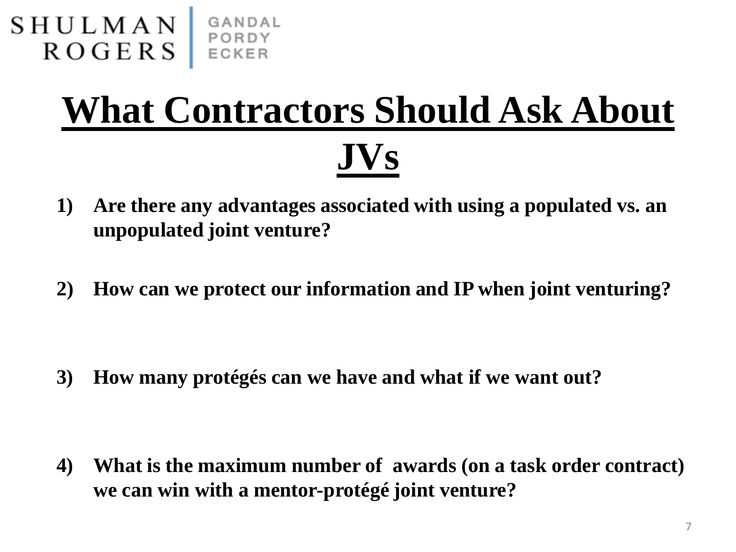

# **What Contractors Should Ask About JVs**

- **1) Are there any advantages associated with using a populated vs. an unpopulated joint venture?**
- **2) How can we protect our information and IP when joint venturing?**

**3) How many protégés can we have and what if we want out?**

**4) What is the maximum number of awards (on a task order contract) we can win with a mentor-protégé joint venture?**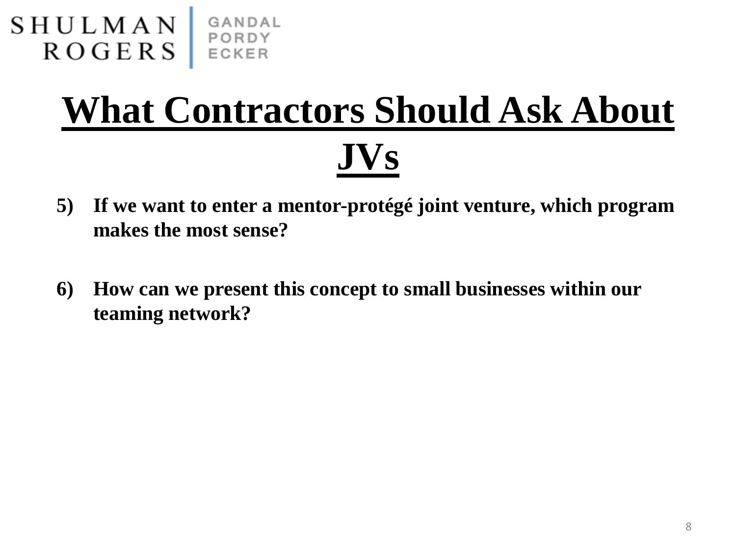

# **What Contractors Should Ask About JVs**

- **5) If we want to enter a mentor-protégé joint venture, which program makes the most sense?**
- **6) How can we present this concept to small businesses within our teaming network?**